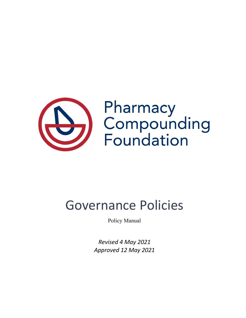

# Governance Policies

Policy Manual

*Revised 4 May 2021 Approved 12 May 2021*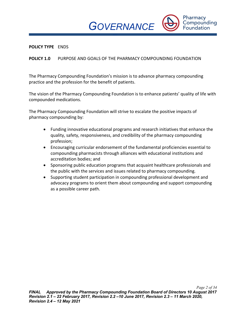*POLICIES*

Pharmacy Compounding **Foundation** 

#### **POLICY TYPE** ENDS

# **POLICY 1.0** PURPOSE AND GOALS OF THE PHARMACY COMPOUNDING FOUNDATION

The Pharmacy Compounding Foundation's mission is to advance pharmacy compounding practice and the profession for the benefit of patients.

The vision of the Pharmacy Compounding Foundation is to enhance patients' quality of life with compounded medications.

The Pharmacy Compounding Foundation will strive to escalate the positive impacts of pharmacy compounding by:

- Funding innovative educational programs and research initiatives that enhance the quality, safety, responsiveness, and credibility of the pharmacy compounding profession;
- Encouraging curricular endorsement of the fundamental proficiencies essential to compounding pharmacists through alliances with educational institutions and accreditation bodies; and
- Sponsoring public education programs that acquaint healthcare professionals and the public with the services and issues related to pharmacy compounding.
- Supporting student participation in compounding professional development and advocacy programs to orient them about compounding and support compounding as a possible career path.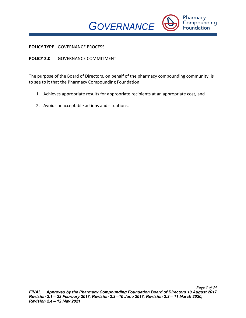

**POLICY TYPE** GOVERNANCE PROCESS

# **POLICY 2.0** GOVERNANCE COMMITMENT

The purpose of the Board of Directors, on behalf of the pharmacy compounding community, is to see to it that the Pharmacy Compounding Foundation:

*POLICIES*

- 1. Achieves appropriate results for appropriate recipients at an appropriate cost, and
- 2. Avoids unacceptable actions and situations.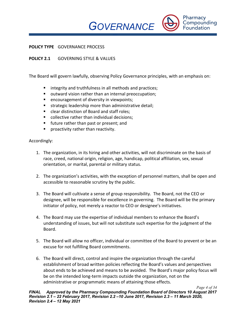*POLICIES*

#### **POLICY TYPE** GOVERNANCE PROCESS

# **POLICY 2.1** GOVERNING STYLE & VALUES

The Board will govern lawfully, observing Policy Governance principles, with an emphasis on:

- integrity and truthfulness in all methods and practices;
- outward vision rather than an internal preoccupation;
- encouragement of diversity in viewpoints;
- strategic leadership more than administrative detail;
- clear distinction of Board and staff roles:
- collective rather than individual decisions;
- future rather than past or present; and
- proactivity rather than reactivity.

- 1. The organization, in its hiring and other activities, will not discriminate on the basis of race, creed, national origin, religion, age, handicap, political affiliation, sex, sexual orientation, or marital, parental or military status.
- 2. The organization's activities, with the exception of personnel matters, shall be open and accessible to reasonable scrutiny by the public.
- 3. The Board will cultivate a sense of group responsibility. The Board, not the CEO or designee, will be responsible for excellence in governing. The Board will be the primary initiator of policy, not merely a reactor to CEO or designee's initiatives.
- 4. The Board may use the expertise of individual members to enhance the Board's understanding of issues, but will not substitute such expertise for the judgment of the Board.
- 5. The Board will allow no officer, individual or committee of the Board to prevent or be an excuse for not fulfilling Board commitments.
- 6. The Board will direct, control and inspire the organization through the careful establishment of broad written policies reflecting the Board's values and perspectives about ends to be achieved and means to be avoided. The Board's major policy focus will be on the intended long-term impacts outside the organization, not on the administrative or programmatic means of attaining those effects.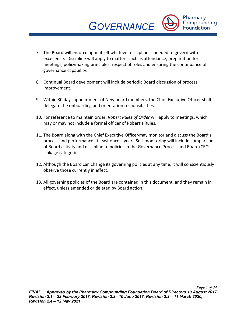7. The Board will enforce upon itself whatever discipline is needed to govern with excellence. Discipline will apply to matters such as attendance, preparation for meetings, policymaking principles, respect of roles and ensuring the continuance of governance capability.

*GOVERNANCE* 

*POLICIES*

Pharmacy Compounding **Foundation** 

- 8. Continual Board development will include periodic Board discussion of process improvement.
- 9. Within 30 days appointment of New board members, the Chief Executive Officer shall delegate the onboarding and orientation responsibilities.
- 10. For reference to maintain order, *Robert Rules of Order* will apply to meetings, which may or may not include a formal officer of Robert's Rules.
- 11. The Board along with the Chief Executive Officer may monitor and discuss the Board's process and performance at least once a year. Self-monitoring will include comparison of Board activity and discipline to policies in the Governance Process and Board/CEO Linkage categories.
- 12. Although the Board can change its governing policies at any time, it will conscientiously observe those currently in effect.
- 13. All governing policies of the Board are contained in this document, and they remain in effect, unless amended or deleted by Board action.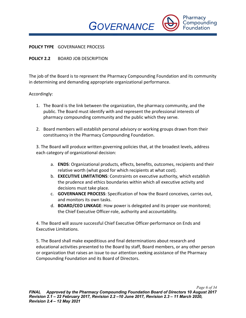*POLICIES*

#### **POLICY TYPE** GOVERNANCE PROCESS

# **POLICY 2.2** BOARD JOB DESCRIPTION

The job of the Board is to represent the Pharmacy Compounding Foundation and its community in determining and demanding appropriate organizational performance.

#### Accordingly:

- 1. The Board is the link between the organization, the pharmacy community, and the public. The Board must identify with and represent the professional interests of pharmacy compounding community and the public which they serve.
- 2. Board members will establish personal advisory or working groups drawn from their constituency in the Pharmacy Compounding Foundation.

3. The Board will produce written governing policies that, at the broadest levels, address each category of organizational decision:

- a. **ENDS**: Organizational products, effects, benefits, outcomes, recipients and their relative worth (what good for which recipients at what cost).
- b. **EXECUTIVE LIMITATIONS**: Constraints on executive authority, which establish the prudence and ethics boundaries within which all executive activity and decisions must take place.
- c. **GOVERNANCE PROCESS**: Specification of how the Board conceives, carries out, and monitors its own tasks.
- d. **BOARD/CEO LINKAGE**: How power is delegated and its proper use monitored; the Chief Executive Officer-role, authority and accountability.

4. The Board will assure successful Chief Executive Officer performance on Ends and Executive Limitations.

5. The Board shall make expeditious and final determinations about research and educational activities presented to the Board by staff, Board members, or any other person or organization that raises an issue to our attention seeking assistance of the Pharmacy Compounding Foundation and its Board of Directors.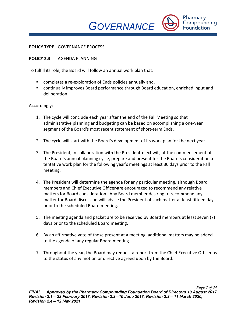*POLICIES*

#### **POLICY TYPE** GOVERNANCE PROCESS

# **POLICY 2.3** AGENDA PLANNING

To fulfill its role, the Board will follow an annual work plan that:

- completes a re-exploration of Ends policies annually and,
- continually improves Board performance through Board education, enriched input and deliberation.

- 1. The cycle will conclude each year after the end of the Fall Meeting so that administrative planning and budgeting can be based on accomplishing a one-year segment of the Board's most recent statement of short-term Ends.
- 2. The cycle will start with the Board's development of its work plan for the next year.
- 3. The President, in collaboration with the President-elect will, at the commencement of the Board's annual planning cycle, prepare and present for the Board's consideration a tentative work plan for the following year's meetings at least 30 days prior to the Fall meeting.
- 4. The President will determine the agenda for any particular meeting, although Board members and Chief Executive Officer are encouraged to recommend any relative matters for Board consideration. Any Board member desiring to recommend any matter for Board discussion will advise the President of such matter at least fifteen days prior to the scheduled Board meeting.
- 5. The meeting agenda and packet are to be received by Board members at least seven (7) days prior to the scheduled Board meeting.
- 6. By an affirmative vote of those present at a meeting, additional matters may be added to the agenda of any regular Board meeting.
- 7. Throughout the year, the Board may request a report from the Chief Executive Officer as to the status of any motion or directive agreed upon by the Board.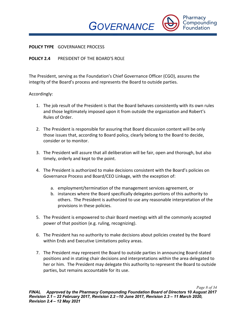*POLICIES*

Pharmacy Compounding **Foundation** 

#### **POLICY TYPE** GOVERNANCE PROCESS

## **POLICY 2.4** PRESIDENT OF THE BOARD'S ROLE

The President, serving as the Foundation's Chief Governance Officer (CGO), assures the integrity of the Board's process and represents the Board to outside parties.

- 1. The job result of the President is that the Board behaves consistently with its own rules and those legitimately imposed upon it from outside the organization and Robert's Rules of Order.
- 2. The President is responsible for assuring that Board discussion content will be only those issues that, according to Board policy, clearly belong to the Board to decide, consider or to monitor.
- 3. The President will assure that all deliberation will be fair, open and thorough, but also timely, orderly and kept to the point.
- 4. The President is authorized to make decisions consistent with the Board's policies on Governance Process and Board/CEO Linkage, with the exception of:
	- a. employment/termination of the management services agreement, or
	- b. instances where the Board specifically delegates portions of this authority to others. The President is authorized to use any reasonable interpretation of the provisions in these policies.
- 5. The President is empowered to chair Board meetings with all the commonly accepted power of that position (e.g. ruling, recognizing).
- 6. The President has no authority to make decisions about policies created by the Board within Ends and Executive Limitations policy areas.
- 7. The President may represent the Board to outside parties in announcing Board-stated positions and in stating chair decisions and interpretations within the area delegated to her or him. The President may delegate this authority to represent the Board to outside parties, but remains accountable for its use.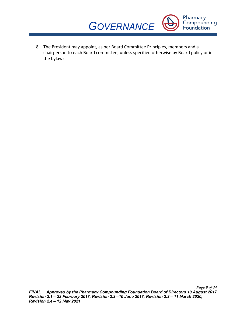

*POLICIES* 8. The President may appoint, as per Board Committee Principles, members and a chairperson to each Board committee, unless specified otherwise by Board policy or in the bylaws.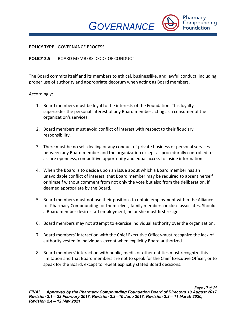*POLICIES*

Pharmacy Compounding **Foundation** 

#### **POLICY TYPE** GOVERNANCE PROCESS

## **POLICY 2.5** BOARD MEMBERS' CODE OF CONDUCT

The Board commits itself and its members to ethical, businesslike, and lawful conduct, including proper use of authority and appropriate decorum when acting as Board members.

- 1. Board members must be loyal to the interests of the Foundation. This loyalty supersedes the personal interest of any Board member acting as a consumer of the organization's services.
- 2. Board members must avoid conflict of interest with respect to their fiduciary responsibility.
- 3. There must be no self-dealing or any conduct of private business or personal services between any Board member and the organization except as procedurally controlled to assure openness, competitive opportunity and equal access to inside information.
- 4. When the Board is to decide upon an issue about which a Board member has an unavoidable conflict of interest, that Board member may be required to absent herself or himself without comment from not only the vote but also from the deliberation, if deemed appropriate by the Board.
- 5. Board members must not use their positions to obtain employment within the Alliance for Pharmacy Compounding for themselves, family members or close associates. Should a Board member desire staff employment, he or she must first resign.
- 6. Board members may not attempt to exercise individual authority over the organization.
- 7. Board members' interaction with the Chief Executive Officer must recognize the lack of authority vested in individuals except when explicitly Board authorized.
- 8. Board members' interaction with public, media or other entities must recognize this limitation and that Board members are not to speak for the Chief Executive Officer, or to speak for the Board, except to repeat explicitly stated Board decisions.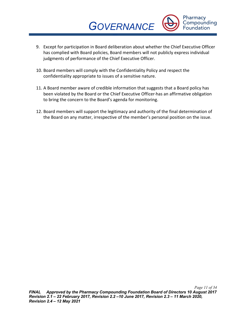

- *POLICIES* 9. Except for participation in Board deliberation about whether the Chief Executive Officer has complied with Board policies, Board members will not publicly express individual judgments of performance of the Chief Executive Officer.
- 10. Board members will comply with the Confidentiality Policy and respect the confidentiality appropriate to issues of a sensitive nature.
- 11. A Board member aware of credible information that suggests that a Board policy has been violated by the Board or the Chief Executive Officer has an affirmative obligation to bring the concern to the Board's agenda for monitoring.
- 12. Board members will support the legitimacy and authority of the final determination of the Board on any matter, irrespective of the member's personal position on the issue.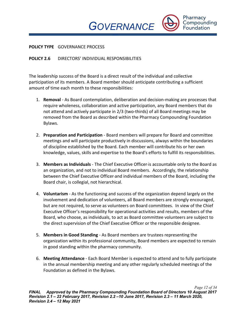*POLICIES*

Pharmacy Compounding **Foundation** 

#### **POLICY TYPE** GOVERNANCE PROCESS

#### **POLICY 2.6** DIRECTORS' INDIVIDUAL RESPONSIBILITIES

The leadership success of the Board is a direct result of the individual and collective participation of its members. A Board member should anticipate contributing a sufficient amount of time each month to these responsibilities:

- 1. **Removal**  As Board contemplation, deliberation and decision-making are processes that require wholeness, collaboration and active participation, any Board members that do not attend and actively participate in 2/3 (two-thirds) of all Board meetings may be removed from the Board as described within the Pharmacy Compounding Foundation Bylaws.
- 2. **Preparation and Participation** Board members will prepare for Board and committee meetings and will participate productively in discussions, always within the boundaries of discipline established by the Board. Each member will contribute his or her own knowledge, values, skills and expertise to the Board's efforts to fulfill its responsibilities.
- 3. **Members as Individuals** The Chief Executive Officer is accountable only to the Board as an organization, and not to individual Board members. Accordingly, the relationship between the Chief Executive Officer and individual members of the Board, including the Board chair, is collegial, not hierarchical.
- 4. **Voluntarism** As the functioning and success of the organization depend largely on the involvement and dedication of volunteers, all Board members are strongly encouraged, but are not required, to serve as volunteers on Board committees. In view of the Chief Executive Officer's responsibility for operational activities and results, members of the Board, who choose, as individuals, to act as Board committee volunteers are subject to the direct supervision of the Chief Executive Officer or the responsible designee.
- 5. **Members in Good Standing** As Board members are trustees representing the organization within its professional community, Board members are expected to remain in good standing within the pharmacy community.
- 6. **Meeting Attendance** Each Board Member is expected to attend and to fully participate in the annual membership meeting and any other regularly scheduled meetings of the Foundation as defined in the Bylaws.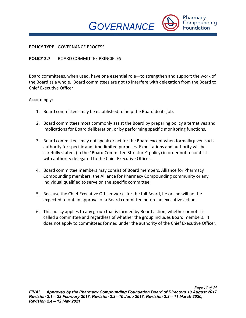*POLICIES*

Pharmacy Compounding **Foundation** 

#### **POLICY TYPE** GOVERNANCE PROCESS

#### **POLICY 2.7** BOARD COMMITTEE PRINCIPLES

Board committees, when used, have one essential role—to strengthen and support the work of the Board as a whole. Board committees are not to interfere with delegation from the Board to Chief Executive Officer.

- 1. Board committees may be established to help the Board do its job.
- 2. Board committees most commonly assist the Board by preparing policy alternatives and implications for Board deliberation, or by performing specific monitoring functions.
- 3. Board committees may not speak or act for the Board except when formally given such authority for specific and time-limited purposes. Expectations and authority will be carefully stated, (in the "Board Committee Structure" policy) in order not to conflict with authority delegated to the Chief Executive Officer.
- 4. Board committee members may consist of Board members, Alliance for Pharmacy Compounding members, the Alliance for Pharmacy Compounding community or any individual qualified to serve on the specific committee.
- 5. Because the Chief Executive Officer works for the full Board, he or she will not be expected to obtain approval of a Board committee before an executive action.
- 6. This policy applies to any group that is formed by Board action, whether or not it is called a committee and regardless of whether the group includes Board members. It does not apply to committees formed under the authority of the Chief Executive Officer.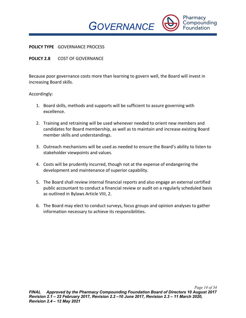*POLICIES*

#### **POLICY TYPE** GOVERNANCE PROCESS

## **POLICY 2.8** COST OF GOVERNANCE

Because poor governance costs more than learning to govern well, the Board will invest in increasing Board skills.

- 1. Board skills, methods and supports will be sufficient to assure governing with excellence.
- 2. Training and retraining will be used whenever needed to orient new members and candidates for Board membership, as well as to maintain and increase existing Board member skills and understandings.
- 3. Outreach mechanisms will be used as needed to ensure the Board's ability to listen to stakeholder viewpoints and values.
- 4. Costs will be prudently incurred, though not at the expense of endangering the development and maintenance of superior capability.
- 5. The Board shall review internal financial reports and also engage an external certified public accountant to conduct a financial review or audit on a regularly scheduled basis as outlined in Bylaws Article VIII, 2.
- 6. The Board may elect to conduct surveys, focus groups and opinion analyses to gather information necessary to achieve its responsibilities.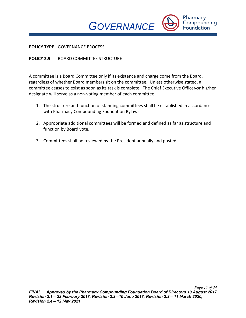*POLICIES*

Pharmacy Compounding **Foundation** 

#### **POLICY TYPE** GOVERNANCE PROCESS

# **POLICY 2.9 BOARD COMMITTEE STRUCTURE**

A committee is a Board Committee only if its existence and charge come from the Board, regardless of whether Board members sit on the committee. Unless otherwise stated, a committee ceases to exist as soon as its task is complete. The Chief Executive Officer or his/her designate will serve as a non-voting member of each committee.

- 1. The structure and function of standing committees shall be established in accordance with Pharmacy Compounding Foundation Bylaws.
- 2. Appropriate additional committees will be formed and defined as far as structure and function by Board vote.
- 3. Committees shall be reviewed by the President annually and posted.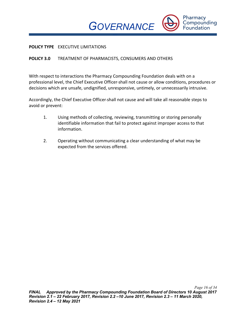

#### **POLICY TYPE** EXECUTIVE LIMITATIONS

## **POLICY 3.0** TREATMENT OF PHARMACISTS, CONSUMERS AND OTHERS

With respect to interactions the Pharmacy Compounding Foundation deals with on a professional level, the Chief Executive Officer shall not cause or allow conditions, procedures or decisions which are unsafe, undignified, unresponsive, untimely, or unnecessarily intrusive.

*POLICIES*

Accordingly, the Chief Executive Officer shall not cause and will take all reasonable steps to avoid or prevent:

- 1. Using methods of collecting, reviewing, transmitting or storing personally identifiable information that fail to protect against improper access to that information.
- 2. Operating without communicating a clear understanding of what may be expected from the services offered.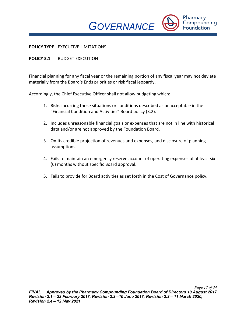*POLICIES*

#### **POLICY TYPE** EXECUTIVE LIMITATIONS

# **POLICY 3.1** BUDGET EXECUTION

Financial planning for any fiscal year or the remaining portion of any fiscal year may not deviate materially from the Board's Ends priorities or risk fiscal jeopardy.

Accordingly, the Chief Executive Officer shall not allow budgeting which:

- 1. Risks incurring those situations or conditions described as unacceptable in the "Financial Condition and Activities" Board policy (3.2).
- 2. Includes unreasonable financial goals or expenses that are not in line with historical data and/or are not approved by the Foundation Board.
- 3. Omits credible projection of revenues and expenses, and disclosure of planning assumptions.
- 4. Fails to maintain an emergency reserve account of operating expenses of at least six (6) months without specific Board approval.
- 5. Fails to provide for Board activities as set forth in the Cost of Governance policy.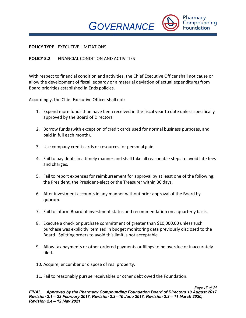*POLICIES*

# Pharmacy Compounding **Foundation**

# **POLICY TYPE** EXECUTIVE LIMITATIONS

# **POLICY 3.2** FINANCIAL CONDITION AND ACTIVITIES

With respect to financial condition and activities, the Chief Executive Officer shall not cause or allow the development of fiscal jeopardy or a material deviation of actual expenditures from Board priorities established in Ends policies.

Accordingly, the Chief Executive Officer shall not:

- 1. Expend more funds than have been received in the fiscal year to date unless specifically approved by the Board of Directors.
- 2. Borrow funds (with exception of credit cards used for normal business purposes, and paid in full each month).
- 3. Use company credit cards or resources for personal gain.
- 4. Fail to pay debts in a timely manner and shall take all reasonable steps to avoid late fees and charges.
- 5. Fail to report expenses for reimbursement for approval by at least one of the following: the President, the President-elect or the Treasurer within 30 days.
- 6. Alter investment accounts in any manner without prior approval of the Board by quorum.
- 7. Fail to inform Board of investment status and recommendation on a quarterly basis.
- 8. Execute a check or purchase commitment of greater than \$10,000.00 unless such purchase was explicitly itemized in budget monitoring data previously disclosed to the Board. Splitting orders to avoid this limit is not acceptable.
- 9. Allow tax payments or other ordered payments or filings to be overdue or inaccurately filed.
- 10. Acquire, encumber or dispose of real property.
- 11. Fail to reasonably pursue receivables or other debt owed the Foundation.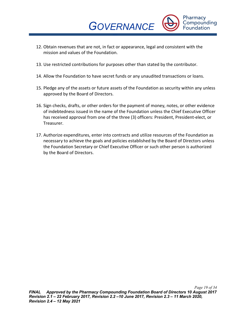*POLICIES* 12. Obtain revenues that are not, in fact or appearance, legal and consistent with the mission and values of the Foundation.

*GOVERNANCE* 

Pharmacy Compounding **Foundation** 

- 13. Use restricted contributions for purposes other than stated by the contributor.
- 14. Allow the Foundation to have secret funds or any unaudited transactions or loans.
- 15. Pledge any of the assets or future assets of the Foundation as security within any unless approved by the Board of Directors.
- 16. Sign checks, drafts, or other orders for the payment of money, notes, or other evidence of indebtedness issued in the name of the Foundation unless the Chief Executive Officer has received approval from one of the three (3) officers: President, President-elect, or Treasurer.
- 17. Authorize expenditures, enter into contracts and utilize resources of the Foundation as necessary to achieve the goals and policies established by the Board of Directors unless the Foundation Secretary or Chief Executive Officer or such other person is authorized by the Board of Directors.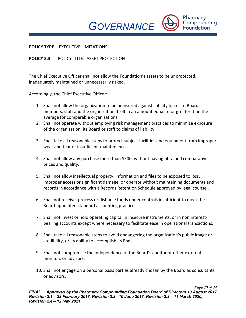*POLICIES*

Pharmacy Compounding **Foundation** 

#### **POLICY TYPE** EXECUTIVE LIMITATIONS

#### **POLICY 3.3** POLICY TITLE: ASSET PROTECTION

The Chief Executive Officer shall not allow the Foundation's assets to be unprotected, inadequately maintained or unnecessarily risked.

Accordingly, the Chief Executive Officer:

- 1. Shall not allow the organization to be uninsured against liability losses to Board members, staff and the organization itself in an amount equal to or greater than the average for comparable organizations.
- 2. Shall not operate without employing risk management practices to minimize exposure of the organization, its Board or staff to claims of liability.
- 3. Shall take all reasonable steps to protect subject facilities and equipment from improper wear and tear or insufficient maintenance.
- 4. Shall not allow any purchase more than \$500, without having obtained comparative prices and quality.
- 5. Shall not allow intellectual property, information and files to be exposed to loss, improper access or significant damage, or operate without maintaining documents and records in accordance with a Records Retention Schedule approved by legal counsel.
- 6. Shall not receive, process or disburse funds under controls insufficient to meet the Board-appointed standard accounting practices.
- 7. Shall not invest or hold operating capital in insecure instruments, or in non interestbearing accounts except where necessary to facilitate ease in operational transactions.
- 8. Shall take all reasonable steps to avoid endangering the organization's public image or credibility, or its ability to accomplish its Ends.
- 9. Shall not compromise the independence of the Board's auditor or other external monitors or advisors.
- 10. Shall not engage on a personal basis parties already chosen by the Board as consultants or advisors.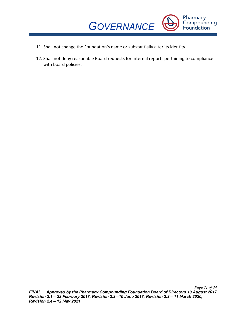

- *POLICIES* 11. Shall not change the Foundation's name or substantially alter its identity.
- 12. Shall not deny reasonable Board requests for internal reports pertaining to compliance with board policies.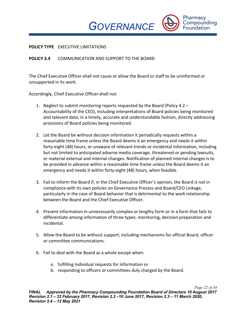*POLICIES*

Pharmacy Compounding **Foundation** 

#### **POLICY TYPE** EXECUTIVE LIMITATIONS

# **POLICY 3.4** COMMUNICATION AND SUPPORT TO THE BOARD

The Chief Executive Officer shall not cause or allow the Board or staff to be uninformed or unsupported in its work.

Accordingly, Chief Executive Officer shall not:

- 1. Neglect to submit monitoring reports requested by the Board (Policy 4.2 Accountability of the CEO), including interpretations of Board policies being monitored and relevant data, in a timely, accurate and understandable fashion, directly addressing provisions of Board policies being monitored.
- 2. Let the Board be without decision information it periodically requests within a reasonable time frame unless the Board deems it an emergency and needs it within forty-eight (48) hours, or unaware of relevant trends or incidental information, including but not limited to anticipated adverse media coverage, threatened or pending lawsuits, or material external and internal changes. Notification of planned internal changes is to be provided in advance within a reasonable time frame unless the Board deems it an emergency and needs it within forty-eight (48) hours, when feasible.
- 3. Fail to inform the Board if, in the Chief Executive Officer's opinion, the Board is not in compliance with its own policies on Governance Process and Board/CEO Linkage, particularly in the case of Board behavior that is detrimental to the work relationship between the Board and the Chief Executive Officer.
- 4. Present information in unnecessarily complex or lengthy form or in a form that fails to differentiate among information of three types: monitoring, decision preparation and incidental.
- 5. Allow the Board to be without support, including mechanisms for official Board, officer or committee communications.
- 6. Fail to deal with the Board as a whole except when:
	- a. fulfilling individual requests for information or
	- b. responding to officers or committees duly charged by the Board.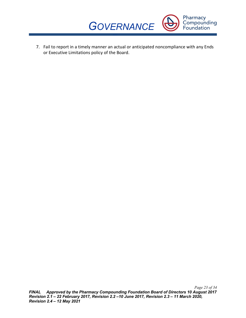

*POLICIES* 7. Fail to report in a timely manner an actual or anticipated noncompliance with any Ends or Executive Limitations policy of the Board.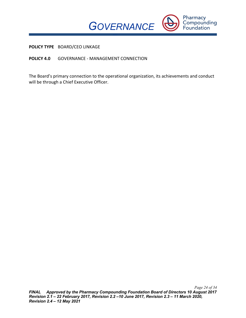

**POLICY TYPE** BOARD/CEO LINKAGE

**POLICY 4.0** GOVERNANCE - MANAGEMENT CONNECTION

The Board's primary connection to the operational organization, its achievements and conduct will be through a Chief Executive Officer.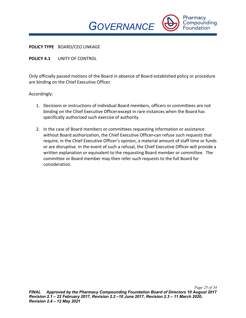*POLICIES*

Pharmacy Compounding **Foundation** 

**POLICY TYPE** BOARD/CEO LINKAGE

**POLICY 4.1** UNITY OF CONTROL

Only officially passed motions of the Board in absence of Board established policy or procedure are binding on the Chief Executive Officer.

- 1. Decisions or instructions of individual Board members, officers or committees are not binding on the Chief Executive Officer except in rare instances when the Board has specifically authorized such exercise of authority.
- 2. In the case of Board members or committees requesting information or assistance without Board authorization, the Chief Executive Officer can refuse such requests that require, in the Chief Executive Officer's opinion, a material amount of staff time or funds or are disruptive. In the event of such a refusal, the Chief Executive Officer-will provide a written explanation or equivalent to the requesting Board member or committee. The committee or Board member may then refer such requests to the full Board for consideration.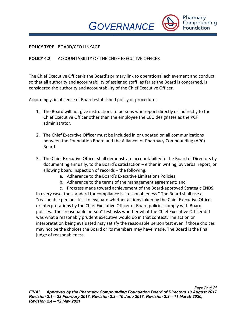*POLICIES*

Pharmacy Compounding **Foundation** 

## **POLICY TYPE** BOARD/CEO LINKAGE

# **POLICY 4.2** ACCOUNTABILITY OF THE CHIEF EXECUTIVE OFFICER

The Chief Executive Officer is the Board's primary link to operational achievement and conduct, so that all authority and accountability of assigned staff, as far as the Board is concerned, is considered the authority and accountability of the Chief Executive Officer.

Accordingly, in absence of Board established policy or procedure:

- 1. The Board will not give instructions to persons who report directly or indirectly to the Chief Executive Officer other than the employee the CEO designates as the PCF administrator.
- 2. The Chief Executive Officer must be included in or updated on all communications between the Foundation Board and the Alliance for Pharmacy Compounding (APC) Board.
- 3. The Chief Executive Officer shall demonstrate accountability to the Board of Directors by documenting annually, to the Board's satisfaction – either in writing, by verbal report, or allowing board inspection of records – the following:
	- a. Adherence to the Board's Executive Limitations Policies;
	- b. Adherence to the terms of the management agreement; and
	- c. Progress made toward achievement of the Board-approved Strategic ENDS.

In every case, the standard for compliance is "reasonableness." The Board shall use a "reasonable person" test to evaluate whether actions taken by the Chief Executive Officer or interpretations by the Chief Executive Officer of Board policies comply with Board policies. The "reasonable person" test asks whether what the Chief Executive Officer did was what a reasonably prudent executive would do in that context. The action or interpretation being evaluated may satisfy the reasonable person test even if those choices may not be the choices the Board or its members may have made. The Board is the final judge of reasonableness.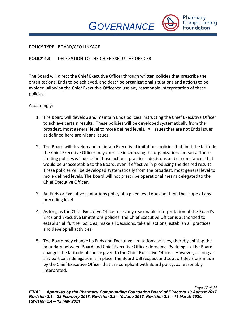*POLICIES*

Pharmacy Compounding **Foundation** 

#### **POLICY TYPE** BOARD/CEO LINKAGE

# **POLICY 4.3** DELEGATION TO THE CHIEF EXECUTIVE OFFICER

The Board will direct the Chief Executive Officer through written policies that prescribe the organizational Ends to be achieved, and describe organizational situations and actions to be avoided, allowing the Chief Executive Officer to use any reasonable interpretation of these policies.

- 1. The Board will develop and maintain Ends policies instructing the Chief Executive Officer to achieve certain results. These policies will be developed systematically from the broadest, most general level to more defined levels. All issues that are not Ends issues as defined here are Means issues.
- 2. The Board will develop and maintain Executive Limitations policies that limit the latitude the Chief Executive Officer-may exercise in choosing the organizational means. These limiting policies will describe those actions, practices, decisions and circumstances that would be unacceptable to the Board, even if effective in producing the desired results. These policies will be developed systematically from the broadest, most general level to more defined levels. The Board will not prescribe operational means delegated to the Chief Executive Officer.
- 3. An Ends or Executive Limitations policy at a given level does not limit the scope of any preceding level.
- 4. As long as the Chief Executive Officer uses any reasonable interpretation of the Board's Ends and Executive Limitations policies, the Chief Executive Officer is authorized to establish all further policies, make all decisions, take all actions, establish all practices and develop all activities.
- 5. The Board may change its Ends and Executive Limitations policies, thereby shifting the boundary between Board and Chief Executive Officer domains. By doing so, the Board changes the latitude of choice given to the Chief Executive Officer. However, as long as any particular delegation is in place, the Board will respect and support decisions made by the Chief Executive Officer that are compliant with Board policy, as reasonably interpreted.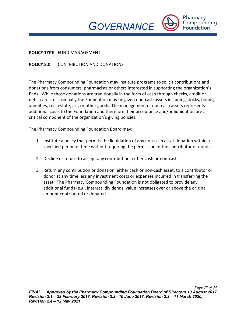*POLICIES*

Pharmacy Compounding **Foundation** 

#### **POLICY TYPE** FUND MANAGEMENT

# **POLICY 5.0** CONTRIBUTION AND DONATIONS

The Pharmacy Compounding Foundation may institute programs to solicit contributions and donations from consumers, pharmacists or others interested in supporting the organization's Ends. While those donations are traditionally in the form of cash through checks, credit or debit cards, occasionally the Foundation may be given non-cash assets including stocks, bonds, annuities, real estate, art, or other goods. The management of non-cash assets represents additional costs to the Foundation and therefore their acceptance and/or liquidation are a critical component of the organization's giving policies.

The Pharmacy Compounding Foundation Board may:

- 1. Institute a policy that permits the liquidation of any non-cash asset donation within a specified period of time without requiring the permission of the contributor or donor.
- 2. Decline or refuse to accept any contribution, either cash or non-cash.
- 3. Return any contribution or donation, either cash or non-cash asset, to a contributor or donor at any time less any investment costs or expenses incurred in transferring the asset. The Pharmacy Compounding Foundation is not obligated to provide any additional funds (e.g., interest, dividends, value increase) over or above the original amount contributed or donated.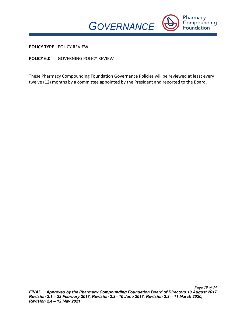

**POLICY TYPE** POLICY REVIEW

**POLICY 6.0** GOVERNING POLICY REVIEW

These Pharmacy Compounding Foundation Governance Policies will be reviewed at least every twelve (12) months by a committee appointed by the President and reported to the Board.

*POLICIES*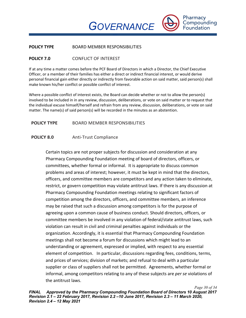*POLICIES* **POLICY TYPE** BOARD MEMBER RESPONSIBILITIES

# **POLICY 7.0** CONFLICT OF INTEREST

If at any time a matter comes before the PCF Board of Directors in which a Director, the Chief Executive Officer, or a member of their families has either a direct or indirect financial interest, or would derive personal financial gain either directly or indirectly from favorable action on said matter, said person(s) shall make known his/her conflict or possible conflict of interest.

*GOVERNANCE* 

Pharmacy Compounding **Foundation** 

Where a possible conflict of interest exists, the Board can decide whether or not to allow the person(s) involved to be included in in any review, discussion, deliberations, or vote on said matter or to request that the individual excuse himself/herself and refrain from any review, discussion, deliberations, or vote on said matter. The name(s) of said person(s) will be recorded in the minutes as an abstention.

# **POLICY TYPE** BOARD MEMBER RESPONSIBILITIES

# **POLICY 8.0** Anti-Trust Compliance

Certain topics are not proper subjects for discussion and consideration at any Pharmacy Compounding Foundation meeting of board of directors, officers, or committees, whether formal or informal. It is appropriate to discuss common problems and areas of interest; however, it must be kept in mind that the directors, officers, and committee members are competitors and any action taken to eliminate, restrict, or govern competition may violate antitrust laws. If there is any discussion at Pharmacy Compounding Foundation meetings relating to significant factors of competition among the directors, officers, and committee members, an inference may be raised that such a discussion among competitors is for the purpose of agreeing upon a common cause of business conduct. Should directors, officers, or committee members be involved in any violation of federal/state antitrust laws, such violation can result in civil and criminal penalties against individuals or the organization. Accordingly, it is essential that Pharmacy Compounding Foundation meetings shall not become a forum for discussions which might lead to an understanding or agreement, expressed or implied, with respect to any essential element of competition. In particular, discussions regarding fees, conditions, terms, and prices of services; division of markets; and refusal to deal with a particular supplier or class of suppliers shall not be permitted. Agreements, whether formal or informal, among competitors relating to any of these subjects are *per se* violations of the antitrust laws.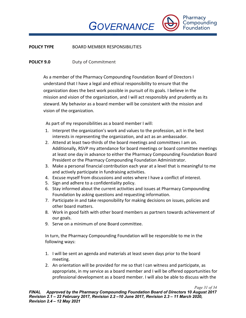Pharmacy Compounding **Foundation** 

*POLICIES* **POLICY TYPE** BOARD MEMBER RESPONSIBILITIES

# **POLICY 9.0** Duty of Commitment

As a member of the Pharmacy Compounding Foundation Board of Directors I understand that I have a legal and ethical responsibility to ensure that the organization does the best work possible in pursuit of its goals. I believe in the mission and vision of the organization, and I will act responsibly and prudently as its steward. My behavior as a board member will be consistent with the mission and vision of the organization.

As part of my responsibilities as a board member I will:

- 1. Interpret the organization's work and values to the profession, act in the best interests in representing the organization, and act as an ambassador.
- 2. Attend at least two-thirds of the board meetings and committees I am on. Additionally, RSVP my attendance for board meetings or board committee meetings at least one day in advance to either the Pharmacy Compounding Foundation Board President or the Pharmacy Compounding Foundation Administrator.
- 3. Make a personal financial contribution each year at a level that is meaningful to me and actively participate in fundraising activities.
- 4. Excuse myself from discussions and votes where I have a conflict of interest.
- 5. Sign and adhere to a confidentiality policy.
- 6. Stay informed about the current activities and issues at Pharmacy Compounding Foundation by asking questions and requesting information.
- 7. Participate in and take responsibility for making decisions on issues, policies and other board matters.
- 8. Work in good faith with other board members as partners towards achievement of our goals.
- 9. Serve on a minimum of one Board committee.

In turn, the Pharmacy Compounding Foundation will be responsible to me in the following ways:

- 1. I will be sent an agenda and materials at least seven days prior to the board meeting.
- 2. An orientation will be provided for me so that I can witness and participate, as appropriate, in my service as a board member and I will be offered opportunities for professional development as a board member. I will also be able to discuss with the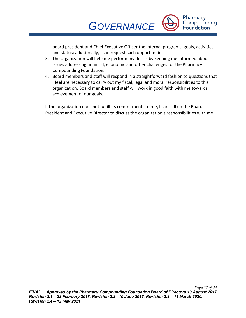

*POLICIES* board president and Chief Executive Officer the internal programs, goals, activities, and status; additionally, I can request such opportunities.

- 3. The organization will help me perform my duties by keeping me informed about issues addressing financial, economic and other challenges for the Pharmacy Compounding Foundation.
- 4. Board members and staff will respond in a straightforward fashion to questions that I feel are necessary to carry out my fiscal, legal and moral responsibilities to this organization. Board members and staff will work in good faith with me towards achievement of our goals.

If the organization does not fulfill its commitments to me, I can call on the Board President and Executive Director to discuss the organization's responsibilities with me.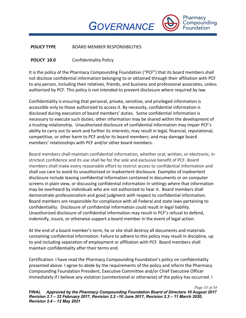Pharmacy Compounding **Foundation** 

*POLICIES* **POLICY TYPE** BOARD MEMBER RESPONSIBILITIES

# **POLICY 10.0** Confidentiality Policy

It is the policy of the Pharmacy Compounding Foundation ("PCF") that its board members shall not disclose confidential information belonging to or obtained through their affiliation with PCF to any person, including their relatives, friends, and business and professional associates, unless authorized by PCF. This policy is not intended to prevent disclosure where required by law.

Confidentiality is ensuring that personal, private, sensitive, and privileged information is accessible only to those authorized to access it. By necessity, confidential information is disclosed during execution of board members' duties. Some confidential information is necessary to execute such duties; other information may be shared within the development of a trusting relationship. Unauthorized disclosure of confidential information may impair PCF's ability to carry out its work and further its interests; may result in legal, financial, reputational, competitive, or other harm to PCF and/or its board members; and may damage board members' relationships with PCF and/or other board members.

Board members shall maintain confidential information, whether oral, written, or electronic, in strictest confidence and its use shall be for the sole and exclusive benefit of PCF. Board members shall make every reasonable effort to restrict access to confidential information and shall use care to avoid its unauthorized or inadvertent disclosure. Examples of inadvertent disclosure include leaving confidential information contained in documents or on computer screens in plain view, or discussing confidential information in settings where that information may be overheard by individuals who are not authorized to hear it. Board members shall demonstrate professionalism and good judgment with respect to confidential information. Board members are responsible for compliance with all Federal and state laws pertaining to confidentiality. Disclosure of confidential information could result in legal liability. Unauthorized disclosure of confidential information may result in PCF's refusal to defend, indemnify, insure, or otherwise support a board member in the event of legal action.

At the end of a board member's term, he or she shall destroy all documents and materials containing confidential information. Failure to adhere to this policy may result in discipline, up to and including separation of employment or affiliation with PCF. Board members shall maintain confidentiality after their terms end.

Certification: I have read the Pharmacy Compounding Foundation's policy on confidentiality presented above. I agree to abide by the requirements of the policy and inform the Pharmacy Compounding Foundation President, Executive Committee and/or Chief Executive Officer immediately if I believe any violation (unintentional or otherwise) of the policy has occurred. I